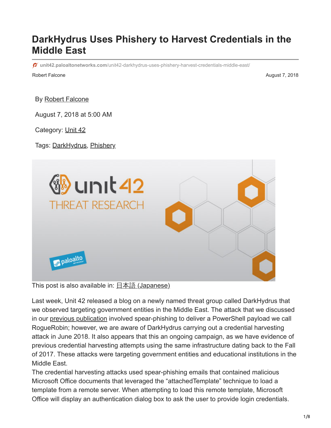# **DarkHydrus Uses Phishery to Harvest Credentials in the Middle East**

**unit42.paloaltonetworks.com**[/unit42-darkhydrus-uses-phishery-harvest-credentials-middle-east/](https://unit42.paloaltonetworks.com/unit42-darkhydrus-uses-phishery-harvest-credentials-middle-east/)

Robert Falcone **August 7, 2018 August 7, 2018** 

By [Robert Falcone](https://unit42.paloaltonetworks.com/author/robertfalcone/)

August 7, 2018 at 5:00 AM

Category: [Unit 42](https://unit42.paloaltonetworks.com/category/unit42/)

Tags: [DarkHydrus](https://unit42.paloaltonetworks.com/tag/darkhydrus/), [Phishery](https://unit42.paloaltonetworks.com/tag/phishery/)



This post is also available in:  $\underline{\Box}$   $\underline{\Diamond}$   $\underline{\Diamond}$   $\underline{\Diamond}$  ( $\underline{\Diamond}$   $\underline{\Diamond}$   $\underline{\Diamond}$ )

Last week, Unit 42 released a blog on a newly named threat group called DarkHydrus that we observed targeting government entities in the Middle East. The attack that we discussed in our [previous publication](https://blog.paloaltonetworks.com/2018/07/unit42-new-threat-actor-group-darkhydrus-targets-middle-east-government/) involved spear-phishing to deliver a PowerShell payload we call RogueRobin; however, we are aware of DarkHydrus carrying out a credential harvesting attack in June 2018. It also appears that this an ongoing campaign, as we have evidence of previous credential harvesting attempts using the same infrastructure dating back to the Fall of 2017. These attacks were targeting government entities and educational institutions in the Middle East.

The credential harvesting attacks used spear-phishing emails that contained malicious Microsoft Office documents that leveraged the "attachedTemplate" technique to load a template from a remote server. When attempting to load this remote template, Microsoft Office will display an authentication dialog box to ask the user to provide login credentials.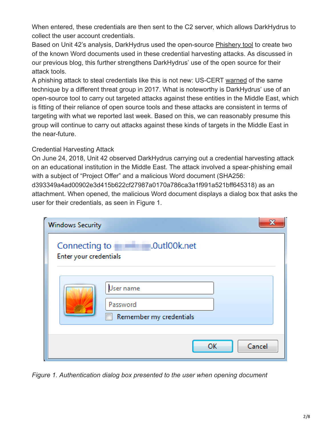When entered, these credentials are then sent to the C2 server, which allows DarkHydrus to collect the user account credentials.

Based on Unit 42's analysis, DarkHydrus used the open-source [Phishery tool](https://github.com/ryhanson/phishery) to create two of the known Word documents used in these credential harvesting attacks. As discussed in our previous blog, this further strengthens DarkHydrus' use of the open source for their attack tools.

A phishing attack to steal credentials like this is not new: US-CERT [warned](https://www.us-cert.gov/sites/default/files/publications/MIFR-10128830_TLP_WHITE.pdf) of the same technique by a different threat group in 2017. What is noteworthy is DarkHydrus' use of an open-source tool to carry out targeted attacks against these entities in the Middle East, which is fitting of their reliance of open source tools and these attacks are consistent in terms of targeting with what we reported last week. Based on this, we can reasonably presume this group will continue to carry out attacks against these kinds of targets in the Middle East in the near-future.

## Credential Harvesting Attack

On June 24, 2018, Unit 42 observed DarkHydrus carrying out a credential harvesting attack on an educational institution in the Middle East. The attack involved a spear-phishing email with a subject of "Project Offer" and a malicious Word document (SHA256: d393349a4ad00902e3d415b622cf27987a0170a786ca3a1f991a521bff645318) as an attachment. When opened, the malicious Word document displays a dialog box that asks the user for their credentials, as seen in Figure 1.

| <b>Windows Security</b>                 |                                                  |  |  |  |  |
|-----------------------------------------|--------------------------------------------------|--|--|--|--|
| Connecting to<br>Enter your credentials | Dutl00k.net                                      |  |  |  |  |
|                                         | Jser name<br>Password<br>Remember my credentials |  |  |  |  |
|                                         | Cancel<br>OK                                     |  |  |  |  |

*Figure 1. Authentication dialog box presented to the user when opening document*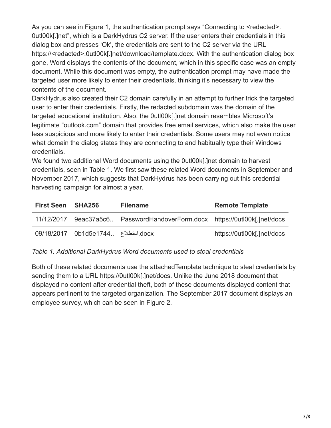As you can see in Figure 1, the authentication prompt says "Connecting to <redacted>. 0utl00k[.]net", which is a DarkHydrus C2 server. If the user enters their credentials in this dialog box and presses 'Ok', the credentials are sent to the C2 server via the URL https://<redacted>.0utl00k[.]net/download/template.docx. With the authentication dialog box gone, Word displays the contents of the document, which in this specific case was an empty document. While this document was empty, the authentication prompt may have made the targeted user more likely to enter their credentials, thinking it's necessary to view the contents of the document.

DarkHydrus also created their C2 domain carefully in an attempt to further trick the targeted user to enter their credentials. Firstly, the redacted subdomain was the domain of the targeted educational institution. Also, the 0utl00k[.]net domain resembles Microsoft's legitimate "outlook.com" domain that provides free email services, which also make the user less suspicious and more likely to enter their credentials. Some users may not even notice what domain the dialog states they are connecting to and habitually type their Windows credentials.

We found two additional Word documents using the 0utl00k[.]net domain to harvest credentials, seen in Table 1. We first saw these related Word documents in September and November 2017, which suggests that DarkHydrus has been carrying out this credential harvesting campaign for almost a year.

| <b>First Seen SHA256</b> |                                    | <b>Filename</b>                                                 | <b>Remote Template</b>     |
|--------------------------|------------------------------------|-----------------------------------------------------------------|----------------------------|
| 11/12/2017               |                                    | 9eac37a5c6 PasswordHandoverForm.docx https://0utl00k[.]net/docs |                            |
|                          | docx استطلاع 09/18/2017 0b1d5e1744 |                                                                 | https://0utl00k[.]net/docs |

*Table 1. Additional DarkHydrus Word documents used to steal credentials*

Both of these related documents use the attachedTemplate technique to steal credentials by sending them to a URL https://0utl00k[.]net/docs. Unlike the June 2018 document that displayed no content after credential theft, both of these documents displayed content that appears pertinent to the targeted organization. The September 2017 document displays an employee survey, which can be seen in Figure 2.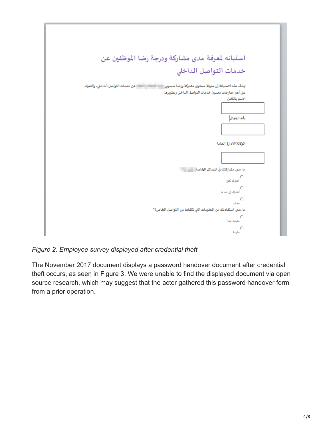

*Figure 2. Employee survey displayed after credential theft*

The November 2017 document displays a password handover document after credential theft occurs, as seen in Figure 3. We were unable to find the displayed document via open source research, which may suggest that the actor gathered this password handover form from a prior operation.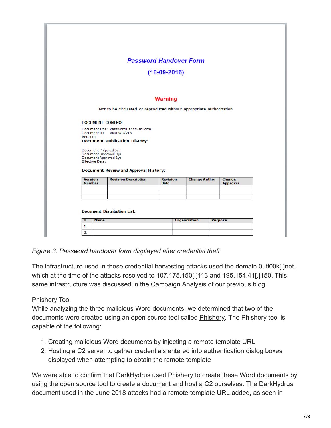|                                 |                        |                                                                                                           | <b>Password Handover Form</b>  |                      |                           |
|---------------------------------|------------------------|-----------------------------------------------------------------------------------------------------------|--------------------------------|----------------------|---------------------------|
|                                 |                        |                                                                                                           |                                |                      |                           |
|                                 |                        |                                                                                                           | $(18-09-2016)$                 |                      |                           |
|                                 |                        |                                                                                                           | <b>Warning</b>                 |                      |                           |
|                                 |                        | Not to be circulated or reproduced without appropriate authorization                                      |                                |                      |                           |
|                                 |                        | <b>DOCUMENT CONTROL</b>                                                                                   |                                |                      |                           |
| Version:                        |                        | Document Title: Password Handover Form<br>Document ID: VM/PWD/213<br><b>Document Publication History:</b> |                                |                      |                           |
|                                 |                        | Document Prepared By:<br>Document Reviewed By:<br>Document Approved By:                                   |                                |                      |                           |
|                                 | <b>Effective Date:</b> |                                                                                                           |                                |                      |                           |
|                                 |                        | <b>Document Review and Approval History:</b>                                                              |                                |                      |                           |
| <b>Version</b><br><b>Number</b> |                        | <b>Revision Description</b>                                                                               | <b>Revision</b><br><b>Date</b> | <b>Change Author</b> | Change<br><b>Approver</b> |
|                                 |                        |                                                                                                           |                                |                      |                           |
|                                 |                        | <b>Document Distribution List:</b>                                                                        |                                |                      |                           |

*Figure 3. Password handover form displayed after credential theft*

The infrastructure used in these credential harvesting attacks used the domain 0utl00k[.]net, which at the time of the attacks resolved to 107.175.150[.]113 and 195.154.41[.]150. This same infrastructure was discussed in the Campaign Analysis of our [previous blog](https://blog.paloaltonetworks.com/2018/07/unit42-new-threat-actor-group-darkhydrus-targets-middle-east-government/).

# Phishery Tool

While analyzing the three malicious Word documents, we determined that two of the documents were created using an open source tool called [Phishery.](https://github.com/ryhanson/phishery) The Phishery tool is capable of the following:

- 1. Creating malicious Word documents by injecting a remote template URL
- 2. Hosting a C2 server to gather credentials entered into authentication dialog boxes displayed when attempting to obtain the remote template

We were able to confirm that DarkHydrus used Phishery to create these Word documents by using the open source tool to create a document and host a C2 ourselves. The DarkHydrus document used in the June 2018 attacks had a remote template URL added, as seen in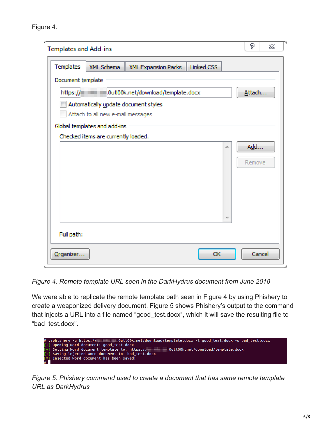Figure 4.

| <b>Templates and Add-ins</b>                       |                                     |                                      |            | P         | 53 |
|----------------------------------------------------|-------------------------------------|--------------------------------------|------------|-----------|----|
| Templates                                          | XML Schema                          | XML Expansion Packs                  | Linked CSS |           |    |
| Document template                                  |                                     |                                      |            |           |    |
| https://www.www.outl00k.net/download/template.docx | Attach                              |                                      |            |           |    |
|                                                    |                                     | Automatically update document styles |            |           |    |
|                                                    | Attach to all new e-mail messages   |                                      |            |           |    |
|                                                    | Global templates and add-ins        |                                      |            |           |    |
|                                                    | Checked items are currently loaded. |                                      |            |           |    |
|                                                    |                                     |                                      |            | Add<br>A. |    |
|                                                    |                                     |                                      |            | Remove    |    |
|                                                    |                                     |                                      |            |           |    |
|                                                    |                                     |                                      |            |           |    |
|                                                    |                                     |                                      |            |           |    |
|                                                    |                                     |                                      |            |           |    |
|                                                    |                                     |                                      |            | ক         |    |
|                                                    |                                     |                                      |            |           |    |
| Full path:                                         |                                     |                                      |            |           |    |
| Organizer                                          |                                     |                                      | OK         | Cancel    |    |
|                                                    |                                     |                                      |            |           |    |

*Figure 4. Remote template URL seen in the DarkHydrus document from June 2018*

We were able to replicate the remote template path seen in Figure 4 by using Phishery to create a weaponized delivery document. Figure 5 shows Phishery's output to the command that injects a URL into a file named "good\_test.docx", which it will save the resulting file to "bad\_test.docx".



*Figure 5. Phishery command used to create a document that has same remote template URL as DarkHydrus*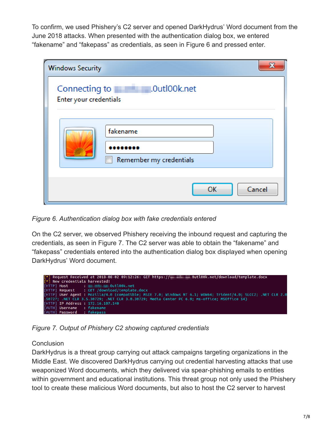To confirm, we used Phishery's C2 server and opened DarkHydrus' Word document from the June 2018 attacks. When presented with the authentication dialog box, we entered "fakename" and "fakepass" as credentials, as seen in Figure 6 and pressed enter.

| <b>Windows Security</b>                 | X                                   |
|-----------------------------------------|-------------------------------------|
| Connecting to<br>Enter your credentials | .0utl00k.net                        |
|                                         | fakename<br>Remember my credentials |
|                                         | Cancel<br>OK                        |

*Figure 6. Authentication dialog box with fake credentials entered*

On the C2 server, we observed Phishery receiving the inbound request and capturing the credentials, as seen in Figure 7. The C2 server was able to obtain the "fakename" and "fakepass" credentials entered into the authentication dialog box displayed when opening DarkHydrus' Word document.



*Figure 7. Output of Phishery C2 showing captured credentials*

# **Conclusion**

DarkHydrus is a threat group carrying out attack campaigns targeting organizations in the Middle East. We discovered DarkHydrus carrying out credential harvesting attacks that use weaponized Word documents, which they delivered via spear-phishing emails to entities within government and educational institutions. This threat group not only used the Phishery tool to create these malicious Word documents, but also to host the C2 server to harvest